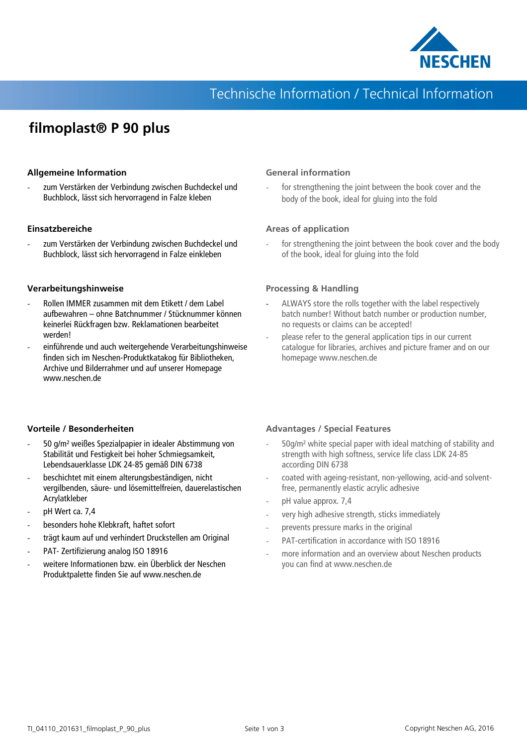

## Technische Information / Technical Information

## **filmoplast® P 90 plus**

#### **Allgemeine Information**

zum Verstärken der Verbindung zwischen Buchdeckel und Buchblock, lässt sich hervorragend in Falze kleben

#### **Einsatzbereiche**

zum Verstärken der Verbindung zwischen Buchdeckel und Buchblock, lässt sich hervorragend in Falze einkleben

#### **Verarbeitungshinweise**

- Rollen IMMER zusammen mit dem Etikett / dem Label aufbewahren – ohne Batchnummer / Stücknummer können keinerlei Rückfragen bzw. Reklamationen bearbeitet werden!
- einführende und auch weitergehende Verarbeitungshinweise finden sich im Neschen-Produktkatakog für Bibliotheken, Archive und Bilderrahmer und auf unserer Homepage www.neschen.de

#### **General information**

for strengthening the joint between the book cover and the body of the book, ideal for gluing into the fold

#### **Areas of application**

for strengthening the joint between the book cover and the body of the book, ideal for gluing into the fold

#### **Processing & Handling**

- ALWAYS store the rolls together with the label respectively batch number! Without batch number or production number, no requests or claims can be accepted!
- please refer to the general application tips in our current catalogue for libraries, archives and picture framer and on our homepage www.neschen.de

#### **Vorteile / Besonderheiten**

- 50 g/m² weißes Spezialpapier in idealer Abstimmung von Stabilität und Festigkeit bei hoher Schmiegsamkeit, Lebendsauerklasse LDK 24-85 gemäß DIN 6738
- beschichtet mit einem alterungsbeständigen, nicht vergilbenden, säure- und lösemittelfreien, dauerelastischen Acrylatkleber
- pH Wert ca. 7.4
- besonders hohe Klebkraft, haftet sofort
- trägt kaum auf und verhindert Druckstellen am Original
- PAT- Zertifizierung analog ISO 18916
- weitere Informationen bzw. ein Überblick der Neschen Produktpalette finden Sie auf www.neschen.de

#### **Advantages / Special Features**

- 50g/m² white special paper with ideal matching of stability and strength with high softness, service life class LDK 24-85 according DIN 6738
- coated with ageing-resistant, non-yellowing, acid-and solventfree, permanently elastic acrylic adhesive
- pH value approx. 7,4
- very high adhesive strength, sticks immediately
- prevents pressure marks in the original
- PAT-certification in accordance with ISO 18916
- more information and an overview about Neschen products you can find at www.neschen.de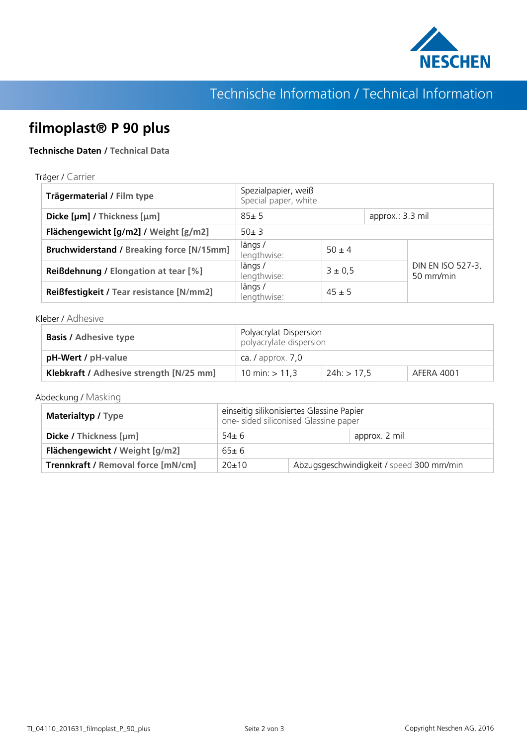

# Technische Information / Technical Information

## **filmoplast® P 90 plus**

### **Technische Daten / Technical Data**

#### Träger / Carrier

| Trägermaterial / Film type                       | Spezialpapier, weiß<br>Special paper, white |            |                  |                                |
|--------------------------------------------------|---------------------------------------------|------------|------------------|--------------------------------|
| Dicke [µm] / Thickness [µm]                      | $85 + 5$                                    |            | approx.: 3.3 mil |                                |
| Flächengewicht [g/m2] / Weight [g/m2]            | $50 + 3$                                    |            |                  |                                |
| <b>Bruchwiderstand / Breaking force [N/15mm]</b> | längs/<br>lengthwise:                       | $50 \pm 4$ |                  |                                |
| <b>Reißdehnung / Elongation at tear [%]</b>      | längs/<br>lengthwise:                       | 3 ± 0.5    |                  | DIN EN ISO 527-3,<br>50 mm/min |
| Reißfestigkeit / Tear resistance [N/mm2]         | längs/<br>lengthwise:                       | $45 \pm 5$ |                  |                                |

#### Kleber / Adhesive

| <b>Basis / Adhesive type</b>            | Polyacrylat Dispersion<br>polyacrylate dispersion |               |            |
|-----------------------------------------|---------------------------------------------------|---------------|------------|
| pH-Wert / pH-value                      | ca. $\sqrt{a}$ approx. $\sqrt{2}$ , 0             |               |            |
| Klebkraft / Adhesive strength [N/25 mm] | 10 min: $> 11,3$                                  | $24h:$ > 17.5 | AFFRA 4001 |

### Abdeckung / Masking

| <b>Materialtyp / Type</b>                 | einseitig silikonisiertes Glassine Papier<br>one- sided siliconised Glassine paper |                                          |               |
|-------------------------------------------|------------------------------------------------------------------------------------|------------------------------------------|---------------|
| Dicke / Thickness [µm]                    | $54 \pm 6$                                                                         |                                          | approx. 2 mil |
| Flächengewicht / Weight [g/m2]            | $65+6$                                                                             |                                          |               |
| <b>Trennkraft / Removal force [mN/cm]</b> | $20+10$                                                                            | Abzugsgeschwindigkeit / speed 300 mm/min |               |